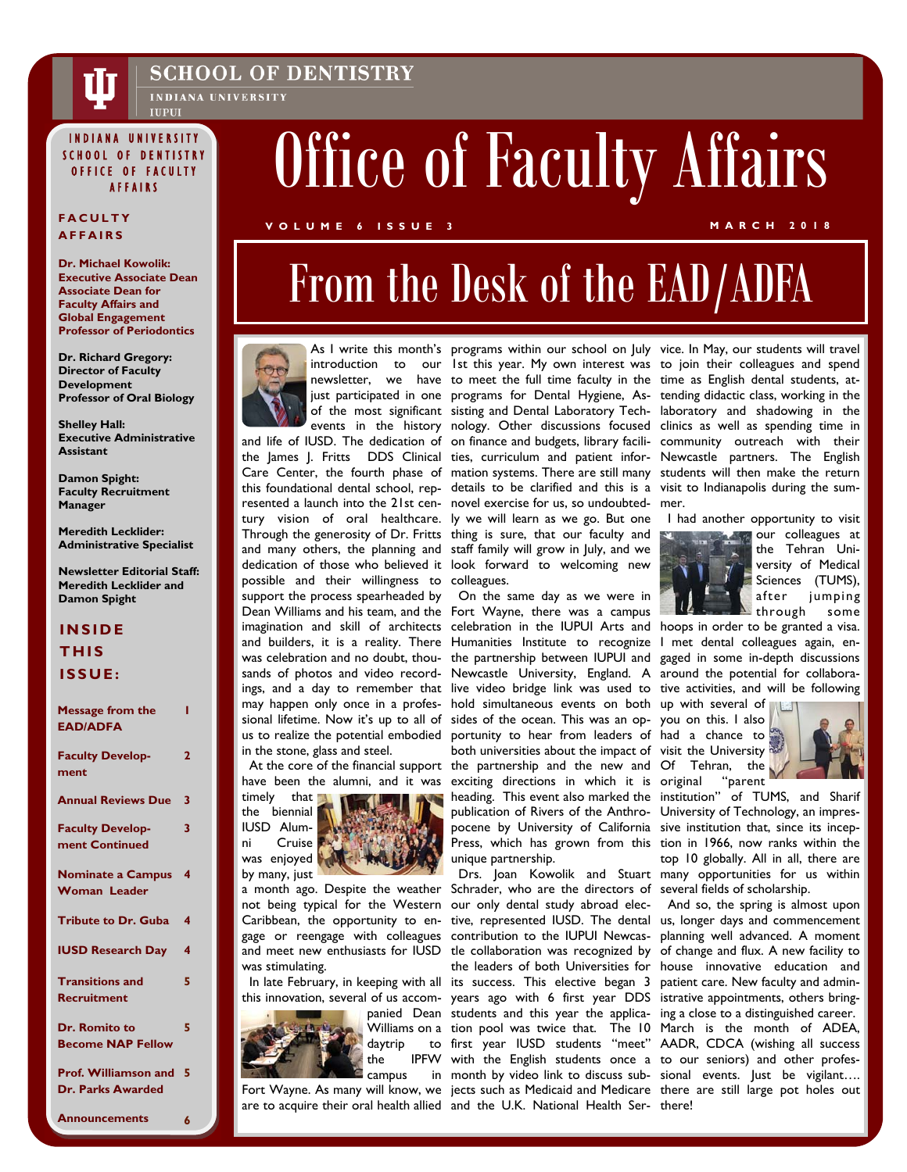

### **SCHOOL OF DENTISTRY**

INDIANA UNIVERSITY **IUPUI** 

### INDIANA UNIVERSITY SCHOOL OF DENTISTRY OFFICE OF FACULTY

## **AFFAIRS**

**Dr. Michael Kowolik: Executive Associate Dean Associate Dean for Faculty Affairs and Global Engagement Professor of Periodontics** 

**Dr. Richard Gregory: Director of Faculty Development Professor of Oral Biology** 

**Shelley Hall: Executive Administrative Assistant** 

**Damon Spight: Faculty Recruitment Manager** 

**Meredith Lecklider: Administrative Specialist** 

**Newsletter Editorial Staff: Meredith Lecklider and Damon Spight** 

### **INSIDE THIS ISSUE:**

| <b>Message from the</b><br><b>EAD/ADFA</b>       |                         |
|--------------------------------------------------|-------------------------|
| <b>Faculty Develop-</b><br>ment                  | $\overline{\mathbf{2}}$ |
| <b>Annual Reviews Due</b>                        | 3                       |
| <b>Faculty Develop-</b><br>ment Continued        | 3                       |
| <b>Nominate a Campus</b><br><b>Woman Leader</b>  | 4                       |
| <b>Tribute to Dr. Guba</b>                       | 4                       |
| <b>IUSD Research Day</b>                         | 4                       |
| <b>Transitions and</b><br><b>Recruitment</b>     | 5                       |
| Dr. Romito to<br><b>Become NAP Fellow</b>        | 5                       |
| Prof. Williamson and<br><b>Dr. Parks Awarded</b> | 5                       |
|                                                  |                         |

**Announcements 6** 

# **AFFAIRS OF SERVISHER OF SUIT OF FACULTY Affairs**

### **VOLUME 6 ISSUE 3 MARCH 2018 FACULTY**

## From the Desk of the EAD/ADFA



possible and their willingness to colleagues. support the process spearheaded by On the same day as we were in in the stone, glass and steel.

have been the alumni, and it was



was stimulating.



newsletter, we have to meet the full time faculty in the time as English dental students, atthis foundational dental school, rep-details to be clarified and this is a visit to Indianapolis during the sumresented a launch into the 21st cen-novel exercise for us, so undoubted-mer. tury vision of oral healthcare. ly we will learn as we go. But one Through the generosity of Dr. Fritts thing is sure, that our faculty and and many others, the planning and staff family will grow in July, and we dedication of those who believed it look forward to welcoming new

Dean Williams and his team, and the Fort Wayne, there was a campus imagination and skill of architects celebration in the IUPUI Arts and hoops in order to be granted a visa. and builders, it is a reality. There Humanities Institute to recognize I met dental colleagues again, enwas celebration and no doubt, thou- the partnership between IUPUI and gaged in some in-depth discussions sands of photos and video record- Newcastle University, England. A around the potential for collaboraings, and a day to remember that live video bridge link was used to tive activities, and will be following may happen only once in a profes-hold simultaneous events on both up with several of sional lifetime. Now it's up to all of sides of the ocean. This was an op-you on this. I also us to realize the potential embodied portunity to hear from leaders of had a chance to At the core of the financial support the partnership and the new and Of Tehran, the both universities about the impact of visit the University exciting directions in which it is heading. This event also marked the publication of Rivers of the Anthro-University of Technology, an imprespocene by University of California sive institution that, since its incep-Press, which has grown from this tion in 1966, now ranks within the unique partnership.

a month ago. Despite the weather Schrader, who are the directors of several fields of scholarship. not being typical for the Western our only dental study abroad elec- And so, the spring is almost upon Caribbean, the opportunity to en- tive, represented IUSD. The dental us, longer days and commencement gage or reengage with colleagues contribution to the IUPUI Newcas- planning well advanced. A moment and meet new enthusiasts for IUSD tle collaboration was recognized by of change and flux. A new facility to In late February, in keeping with all its success. This elective began 3 patient care. New faculty and adminthis innovation, several of us accom- years ago with 6 first year DDS istrative appointments, others bringpanied Dean students and this year the applica-ing a close to a distinguished career. Williams on a tion pool was twice that. The 10 March is the month of ADEA, the IPFW with the English students once a to our seniors) and other profes-Fort Wayne. As many will know, we jects such as Medicaid and Medicare there are still large pot holes out are to acquire their oral health allied and the U.K. National Health Ser- there! Drs. Joan Kowolik and Stuart many opportunities for us within the leaders of both Universities for house innovative education and first year IUSD students "meet" AADR, CDCA (wishing all success month by video link to discuss sub-sional events. Just be vigilant….

As I write this month's programs within our school on July vice. In May, our students will travel introduction to our 1st this year. My own interest was to join their colleagues and spend just participated in one programs for Dental Hygiene, As-tending didactic class, working in the of the most significant sisting and Dental Laboratory Tech-laboratory and shadowing in the events in the history nology. Other discussions focused clinics as well as spending time in and life of IUSD. The dedication of on finance and budgets, library facili-community outreach with their the James J. Fritts DDS Clinical ties, curriculum and patient infor-Newcastle partners. The English Care Center, the fourth phase of mation systems. There are still many students will then make the return

I had another opportunity to visit



**our colleagues at** the Tehran University of Medical Sciences (TUMS), after jumping through some

original "parent



institution" of TUMS, and Sharif top 10 globally. All in all, there are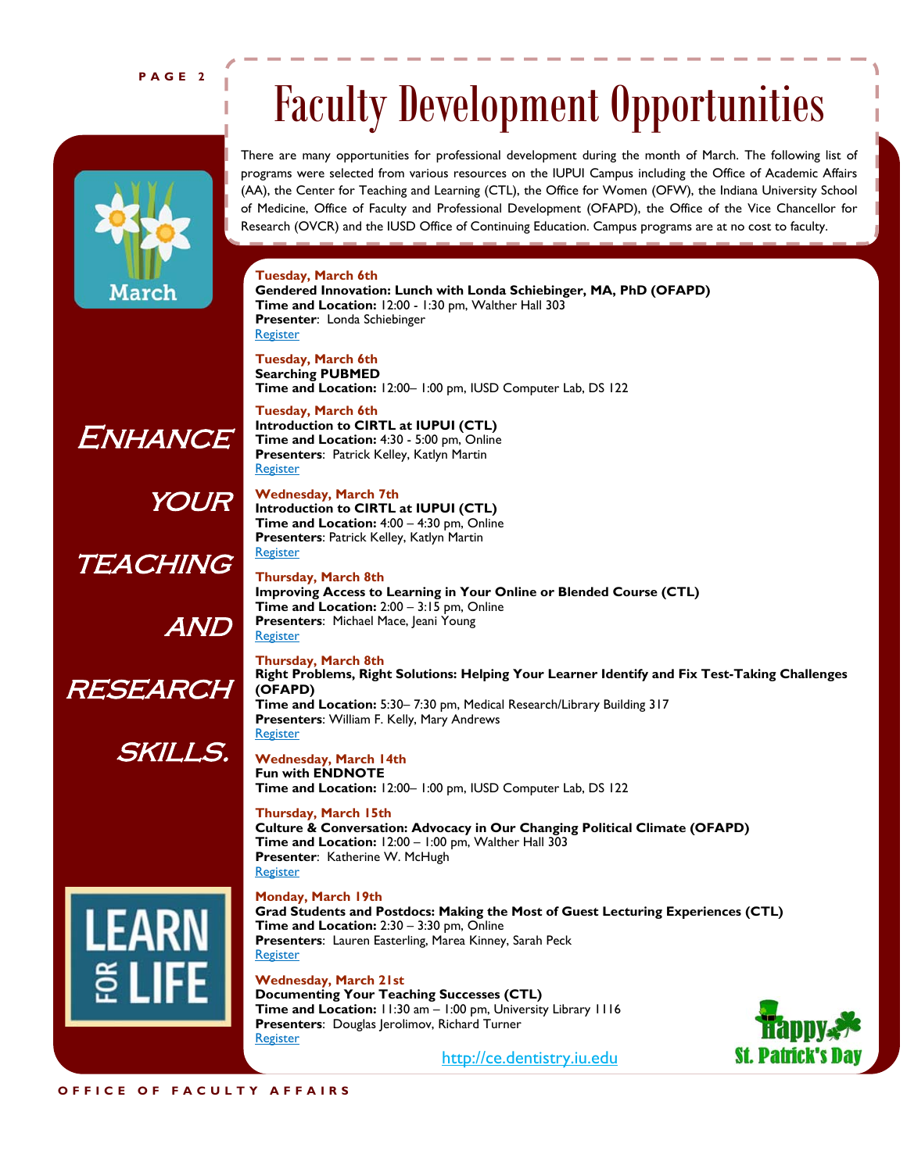### **PAGE 2**



## Faculty Development Opportunities

There are many opportunities for professional development during the month of March. The following list of programs were selected from various resources on the IUPUI Campus including the Office of Academic Affairs (AA), the Center for Teaching and Learning (CTL), the Office for Women (OFW), the Indiana University School of Medicine, Office of Faculty and Professional Development (OFAPD), the Office of the Vice Chancellor for Research (OVCR) and the IUSD Office of Continuing Education. Campus programs are at no cost to faculty.

### **Tuesday, March 6th**

**Gendered Innovation: Lunch with Londa Schiebinger, MA, PhD (OFAPD) Time and Location:** 12:00 - 1:30 pm, Walther Hall 303 **Presenter**: Londa Schiebinger **Register** 

**Tuesday, March 6th Searching PUBMED Time and Location:** 12:00– 1:00 pm, IUSD Computer Lab, DS 122

**Tuesday, March 6th Introduction to CIRTL at IUPUI (CTL) Time and Location:** 4:30 - 5:00 pm, Online **Presenters**: Patrick Kelley, Katlyn Martin **Register** 

**Presenters**: Patrick Kelley, Katlyn Martin

**Wednesday, March 7th Introduction to CIRTL at IUPUI (CTL) Time and Location:** 4:00 – 4:30 pm, Online **OUR** 

**Register** 

**TEACHING** 

Enhance

and

research

skills.



**Thursday, March 8th Improving Access to Learning in Your Online or Blended Course (CTL) Time and Location:** 2:00 – 3:15 pm, Online **Presenters: Michael Mace, Jeani Young Register** 

**Thursday, March 8th Right Problems, Right Solutions: Helping Your Learner Identify and Fix Test-Taking Challenges (OFAPD) Time and Location:** 5:30– 7:30 pm, Medical Research/Library Building 317 **Presenters**: William F. Kelly, Mary Andrews **Register** 

### **Wednesday, March 14th Fun with ENDNOTE Time and Location:** 12:00– 1:00 pm, IUSD Computer Lab, DS 122

**Thursday, March 15th Culture & Conversation: Advocacy in Our Changing Political Climate (OFAPD) Time and Location:** 12:00 – 1:00 pm, Walther Hall 303 **Presenter**: Katherine W. McHugh **Register** 

### **Monday, March 19th**

**Grad Students and Postdocs: Making the Most of Guest Lecturing Experiences (CTL) Time and Location:** 2:30 – 3:30 pm, Online **Presenters**: Lauren Easterling, Marea Kinney, Sarah Peck **Register** 

**Wednesday, March 21st Documenting Your Teaching Successes (CTL) Time and Location:** 11:30 am – 1:00 pm, University Library 1116 **Presenters: Douglas Jerolimov, Richard Turner Register** 



http://ce.dentistry.iu.edu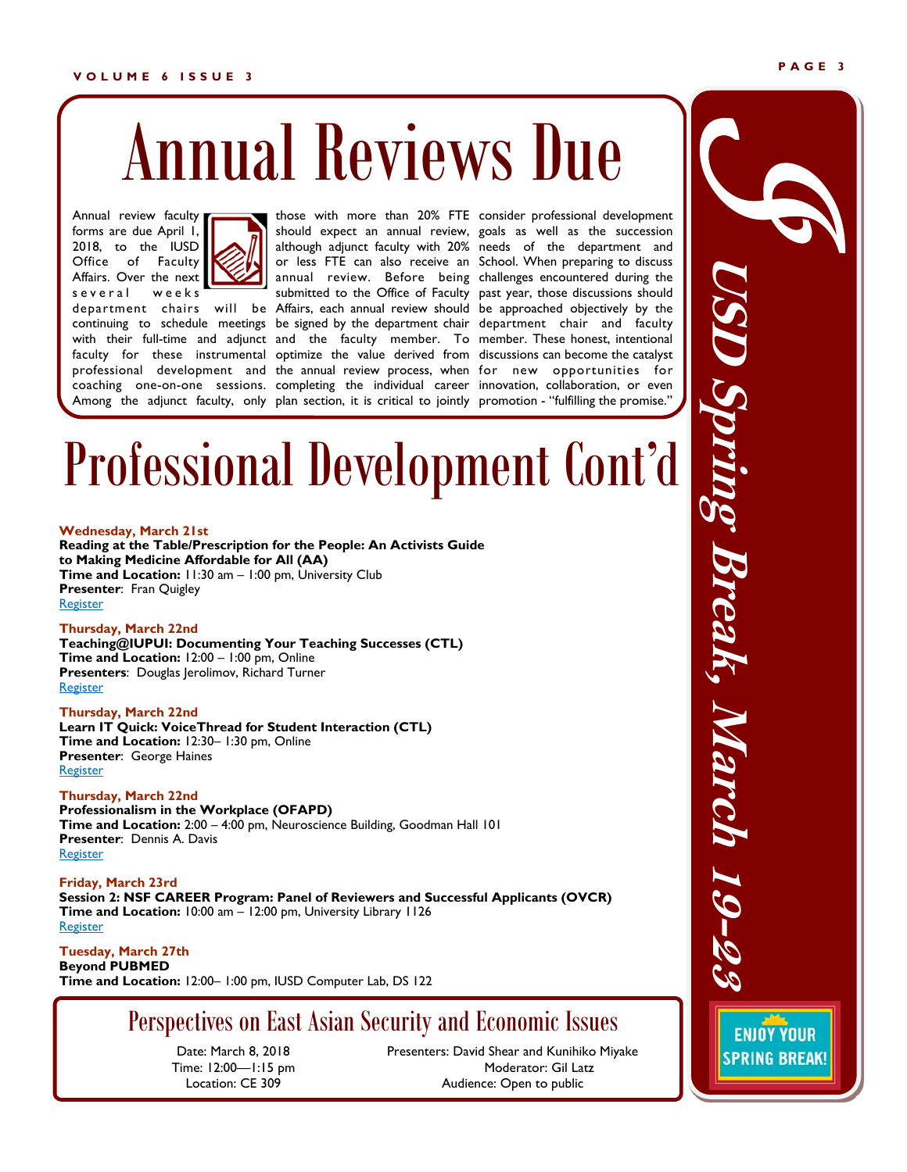### **VOLUME 6 ISSUE 3**

# Annual Reviews Due

Annual review faculty forms are due April 1, 2018, to the IUSD Office of Faculty Affairs. Over the next s e veral weeks



continuing to schedule meetings be signed by the department chair department chair and faculty with their full-time and adjunct and the faculty member. To member. These honest, intentional faculty for these instrumental optimize the value derived from discussions can become the catalyst professional development and the annual review process, when for new opportunities for coaching one-on-one sessions. completing the individual career innovation, collaboration, or even Among the adjunct faculty, only plan section, it is critical to jointly promotion - "fulfilling the promise."

department chairs will be Affairs, each annual review should be approached objectively by the those with more than 20% FTE consider professional development should expect an annual review, goals as well as the succession although adjunct faculty with 20% needs of the department and or less FTE can also receive an School. When preparing to discuss annual review. Before being challenges encountered during the submitted to the Office of Faculty past year, those discussions should

## Professional Development Cont'd

### **Wednesday, March 21st**

**Reading at the Table/Prescription for the People: An Activists Guide to Making Medicine Affordable for All (AA) Time and Location:** 11:30 am – 1:00 pm, University Club **Presenter**: Fran Quigley **Register** 

### **Thursday, March 22nd**

**Teaching@IUPUI: Documenting Your Teaching Successes (CTL) Time and Location:** 12:00 – 1:00 pm, Online **Presenters**: Douglas Jerolimov, Richard Turner Register

### **Thursday, March 22nd**

**Learn IT Quick: VoiceThread for Student Interaction (CTL) Time and Location:** 12:30– 1:30 pm, Online **Presenter**: George Haines Register

### **Thursday, March 22nd**

**Professionalism in the Workplace (OFAPD) Time and Location:** 2:00 – 4:00 pm, Neuroscience Building, Goodman Hall 101 **Presenter**: Dennis A. Davis **Register** 

**Friday, March 23rd Session 2: NSF CAREER Program: Panel of Reviewers and Successful Applicants (OVCR) Time and Location:** 10:00 am – 12:00 pm, University Library 1126 **Register** 

**Tuesday, March 27th Beyond PUBMED Time and Location:** 12:00– 1:00 pm, IUSD Computer Lab, DS 122

## Perspectives on East Asian Security and Economic Issues

Date: March 8, 2018 Time: 12:00—1:15 pm Location: CE 309

Presenters: David Shear and Kunihiko Miyake Moderator: Gil Latz Audience: Open to public

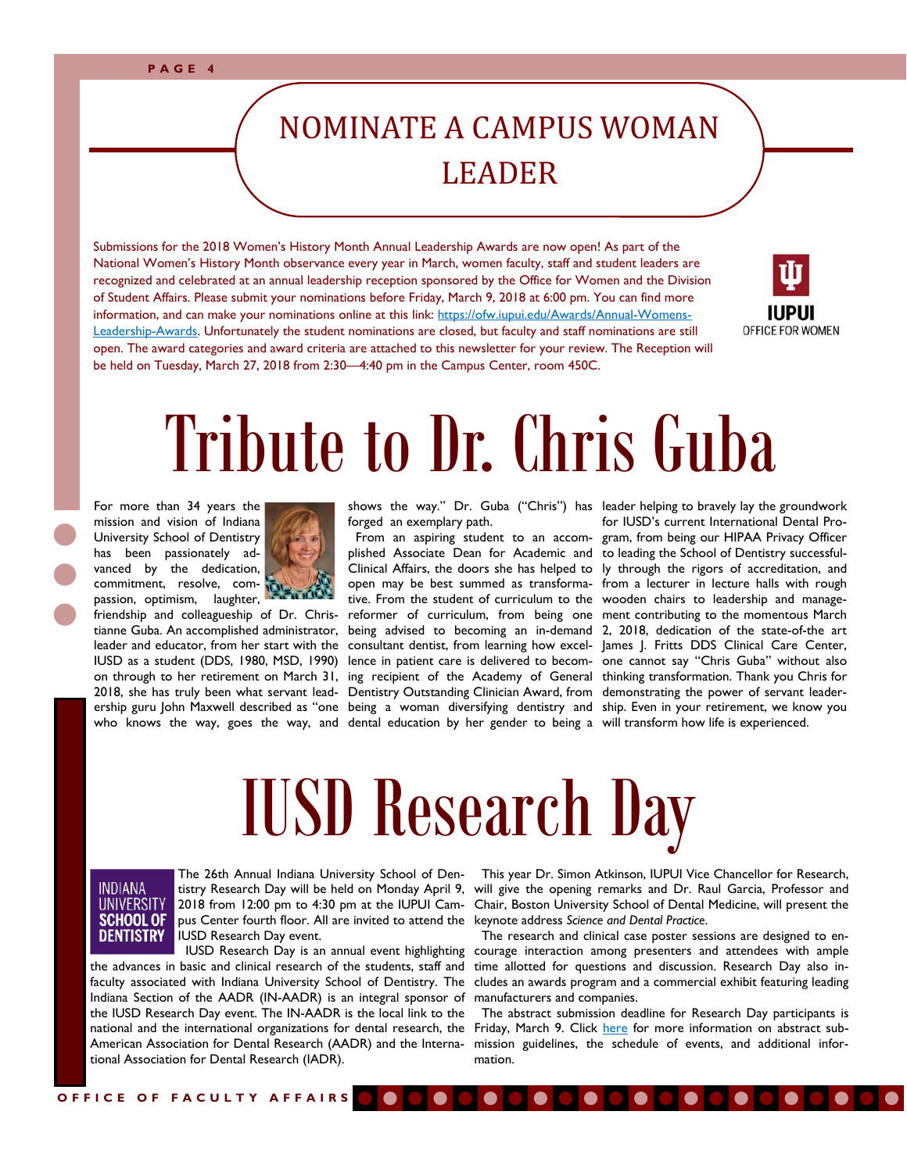## NOMINATE A CAMPUS WOMAN LEADER

Submissions for the 2018 Women's History Month Annual Leadership Awards are now open! As part of the National Women's History Month observance every year in March, women faculty, staff and student leaders are recognized and celebrated at an annual leadership reception sponsored by the Office for Women and the Division of Student Affairs. Please submit your nominations before Friday, March 9, 2018 at 6:00 pm. You can find more information, and can make your nominations online at this link: https://ofw.iupui.edu/Awards/Annual-Womens-Leadership-Awards. Unfortunately the student nominations are closed, but faculty and staff nominations are still open. The award categories and award criteria are attached to this newsletter for your review. The Reception will be held on Tuesday, March 27, 2018 from 2:30—4:40 pm in the Campus Center, room 450C.



# Tribute to Dr. Chris Guba

For more than 34 years the mission and vision of Indiana University School of Dentistry has been passionately advanced by the dedication, commitment, resolve, compassion, optimism, laughter,



friendship and colleagueship of Dr. Christianne Guba. An accomplished administrator, on through to her retirement on March 31, 2018, she has truly been what servant leadwho knows the way, goes the way, and dental education by her gender to being a will transform how life is experienced.

forged an exemplary path.

leader and educator, from her start with the consultant dentist, from learning how excel- James J. Fritts DDS Clinical Care Center, IUSD as a student (DDS, 1980, MSD, 1990) lence in patient care is delivered to becom-one cannot say "Chris Guba" without also ership guru John Maxwell described as "one being a woman diversifying dentistry and ship. Even in your retirement, we know you shows the way." Dr. Guba ("Chris") has leader helping to bravely lay the groundwork From an aspiring student to an accom-gram, from being our HIPAA Privacy Officer plished Associate Dean for Academic and to leading the School of Dentistry successful-Clinical Affairs, the doors she has helped to ly through the rigors of accreditation, and open may be best summed as transforma-from a lecturer in lecture halls with rough tive. From the student of curriculum to the wooden chairs to leadership and managereformer of curriculum, from being one ment contributing to the momentous March being advised to becoming an in-demand 2, 2018, dedication of the state-of-the art ing recipient of the Academy of General thinking transformation. Thank you Chris for Dentistry Outstanding Clinician Award, from demonstrating the power of servant leaderfor IUSD's current International Dental Pro-

# IUSD Research Day



The 26th Annual Indiana University School of Den-2018 from 12:00 pm to 4:30 pm at the IUPUI Campus Center fourth floor. All are invited to attend the keynote address *Science and Dental Practice*. IUSD Research Day event.

 IUSD Research Day is an annual event highlighting the advances in basic and clinical research of the students, staff and faculty associated with Indiana University School of Dentistry. The cludes an awards program and a commercial exhibit featuring leading Indiana Section of the AADR (IN-AADR) is an integral sponsor of manufacturers and companies. the IUSD Research Day event. The IN-AADR is the local link to the national and the international organizations for dental research, the tional Association for Dental Research (IADR).

tistry Research Day will be held on Monday April 9, will give the opening remarks and Dr. Raul Garcia, Professor and This year Dr. Simon Atkinson, IUPUI Vice Chancellor for Research, Chair, Boston University School of Dental Medicine, will present the

> The research and clinical case poster sessions are designed to encourage interaction among presenters and attendees with ample time allotted for questions and discussion. Research Day also in-

American Association for Dental Research (AADR) and the Interna-mission guidelines, the schedule of events, and additional infor- The abstract submission deadline for Research Day participants is Friday, March 9. Click here for more information on abstract submation.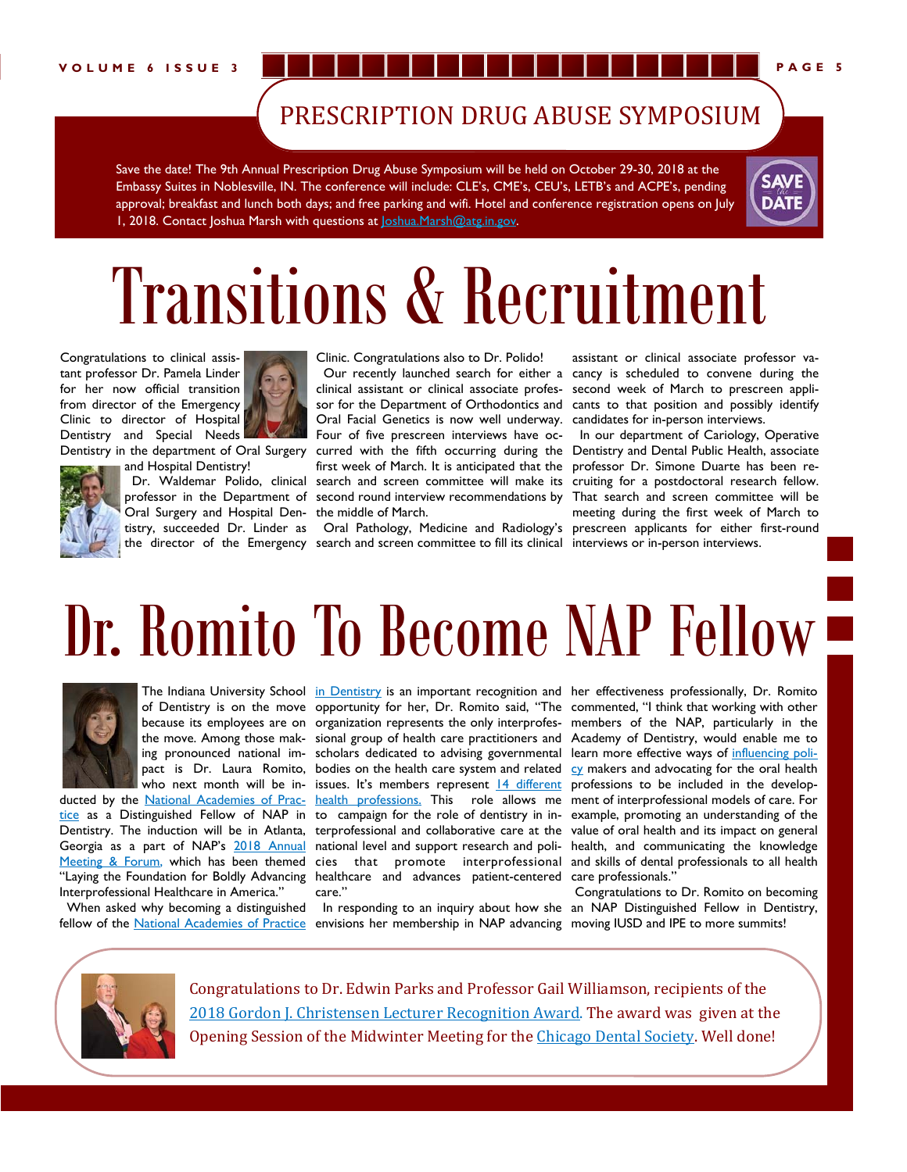## PRESCRIPTION DRUG ABUSE SYMPOSIUM

Save the date! The 9th Annual Prescription Drug Abuse Symposium will be held on October 29-30, 2018 at the Embassy Suites in Noblesville, IN. The conference will include: CLE's, CME's, CEU's, LETB's and ACPE's, pending approval; breakfast and lunch both days; and free parking and wifi. Hotel and conference registration opens on July 1, 2018. Contact Joshua Marsh with questions at Joshua.Marsh@atg.in.gov.



# Transitions & Recruitment

Congratulations to clinical assistant professor Dr. Pamela Linder for her now official transition from director of the Emergency Clinic to director of Hospital Dentistry and Special Needs



Dentistry in the department of Oral Surgery



and Hospital Dentistry! Oral Surgery and Hospital Den-the middle of March.

Oral Facial Genetics is now well underway. candidates for in-person interviews.

Clinic. Congratulations also to Dr. Polido!

tistry, succeeded Dr. Linder as Oral Pathology, Medicine and Radiology's prescreen applicants for either first-round the director of the Emergency search and screen committee to fill its clinical interviews or in-person interviews.

 Our recently launched search for either a cancy is scheduled to convene during the clinical assistant or clinical associate profes-second week of March to prescreen applisor for the Department of Orthodontics and cants to that position and possibly identify assistant or clinical associate professor va-

Dr. Waldemar Polido, clinical search and screen committee will make its cruiting for a postdoctoral research fellow. professor in the Department of second round interview recommendations by That search and screen committee will be Four of five prescreen interviews have oc- In our department of Cariology, Operative curred with the fifth occurring during the Dentistry and Dental Public Health, associate first week of March. It is anticipated that the professor Dr. Simone Duarte has been remeeting during the first week of March to

# Dr. Romito To Become NAP Fellow



tice as a Distinguished Fellow of NAP in to campaign for the role of dentistry in in- example, promoting an understanding of the Dentistry. The induction will be in Atlanta, terprofessional and collaborative care at the value of oral health and its impact on general Georgia as a part of NAP's 2018 Annual national level and support research and poli- health, and communicating the knowledge Meeting & Forum, which has been themed cies that promote interprofessional and skills of dental professionals to all health "Laying the Foundation for Boldly Advancing healthcare and advances patient-centered care professionals." Interprofessional Healthcare in America."

fellow of the National Academies of Practice envisions her membership in NAP advancing moving IUSD and IPE to more summits!

The Indiana University School <u>in Dentistry</u> is an important recognition and her effectiveness professionally, Dr. Romito care."

When asked why becoming a distinguished In responding to an inquiry about how she an NAP Distinguished Fellow in Dentistry,

of Dentistry is on the move opportunity for her, Dr. Romito said, "The commented, "I think that working with other because its employees are on organization represents the only interprofes-members of the NAP, particularly in the the move. Among those mak-sional group of health care practitioners and Academy of Dentistry, would enable me to ing pronounced national im- scholars dedicated to advising governmental learn more effective ways of influencing polipact is Dr. Laura Romito, bodies on the health care system and related  $c<sub>Y</sub>$  makers and advocating for the oral health who next month will be in- issues. It's members represent 14 different professions to be included in the developducted by the National Academies of Prac-health professions. This role allows me ment of interprofessional models of care. For

Congratulations to Dr. Romito on becoming



Congratulations to Dr. Edwin Parks and Professor Gail Williamson, recipients of the 2018 Gordon J. Christensen Lecturer Recognition Award. The award was given at the Opening Session of the Midwinter Meeting for the Chicago Dental Society. Well done!